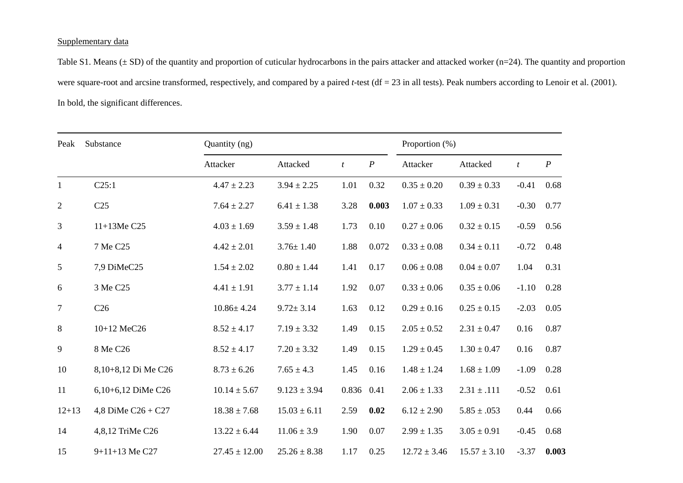## Supplementary data

Table S1. Means  $(\pm SD)$  of the quantity and proportion of cuticular hydrocarbons in the pairs attacker and attacked worker (n=24). The quantity and proportion were square-root and arcsine transformed, respectively, and compared by a paired *t*-test (df = 23 in all tests). Peak numbers according to Lenoir et al. (2001). In bold, the significant differences.

| Peak           | Substance            | Quantity (ng)     |                  |            |                  |                  | Proportion (%)   |                |                  |  |
|----------------|----------------------|-------------------|------------------|------------|------------------|------------------|------------------|----------------|------------------|--|
|                |                      | Attacker          | Attacked         | t          | $\boldsymbol{P}$ | Attacker         | Attacked         | $\mathfrak{t}$ | $\boldsymbol{P}$ |  |
| $\mathbf{1}$   | C25:1                | $4.47 \pm 2.23$   | $3.94 \pm 2.25$  | 1.01       | 0.32             | $0.35 \pm 0.20$  | $0.39 \pm 0.33$  | $-0.41$        | 0.68             |  |
| $\overline{c}$ | C <sub>25</sub>      | $7.64 \pm 2.27$   | $6.41 \pm 1.38$  | 3.28       | 0.003            | $1.07 \pm 0.33$  | $1.09 \pm 0.31$  | $-0.30$        | 0.77             |  |
| 3              | 11+13Me C25          | $4.03 \pm 1.69$   | $3.59 \pm 1.48$  | 1.73       | 0.10             | $0.27 \pm 0.06$  | $0.32 \pm 0.15$  | $-0.59$        | 0.56             |  |
| 4              | 7 Me C25             | $4.42 \pm 2.01$   | $3.76 \pm 1.40$  | 1.88       | 0.072            | $0.33\pm0.08$    | $0.34 \pm 0.11$  | $-0.72$        | 0.48             |  |
| 5              | 7,9 DiMeC25          | $1.54 \pm 2.02$   | $0.80 \pm 1.44$  | 1.41       | 0.17             | $0.06 \pm 0.08$  | $0.04 \pm 0.07$  | 1.04           | 0.31             |  |
| 6              | 3 Me C25             | $4.41 \pm 1.91$   | $3.77 \pm 1.14$  | 1.92       | 0.07             | $0.33 \pm 0.06$  | $0.35 \pm 0.06$  | $-1.10$        | 0.28             |  |
| $\tau$         | C <sub>26</sub>      | $10.86 \pm 4.24$  | $9.72 \pm 3.14$  | 1.63       | 0.12             | $0.29 \pm 0.16$  | $0.25 \pm 0.15$  | $-2.03$        | 0.05             |  |
| 8              | 10+12 MeC26          | $8.52 \pm 4.17$   | $7.19 \pm 3.32$  | 1.49       | 0.15             | $2.05 \pm 0.52$  | $2.31 \pm 0.47$  | 0.16           | 0.87             |  |
| 9              | 8 Me C26             | $8.52 \pm 4.17$   | $7.20 \pm 3.32$  | 1.49       | 0.15             | $1.29 \pm 0.45$  | $1.30 \pm 0.47$  | 0.16           | 0.87             |  |
| 10             | 8,10+8,12 Di Me C26  | $8.73 \pm 6.26$   | $7.65 \pm 4.3$   | 1.45       | 0.16             | $1.48 \pm 1.24$  | $1.68 \pm 1.09$  | $-1.09$        | 0.28             |  |
| 11             | 6,10+6,12 DiMe C26   | $10.14 \pm 5.67$  | $9.123 \pm 3.94$ | 0.836 0.41 |                  | $2.06 \pm 1.33$  | $2.31 \pm .111$  | $-0.52$        | 0.61             |  |
| $12 + 13$      | 4,8 DiMe $C26 + C27$ | $18.38 \pm 7.68$  | $15.03 \pm 6.11$ | 2.59       | 0.02             | $6.12 \pm 2.90$  | $5.85 \pm .053$  | 0.44           | 0.66             |  |
| 14             | 4,8,12 TriMe C26     | $13.22 \pm 6.44$  | $11.06 \pm 3.9$  | 1.90       | 0.07             | $2.99 \pm 1.35$  | $3.05 \pm 0.91$  | $-0.45$        | 0.68             |  |
| 15             | 9+11+13 Me C27       | $27.45 \pm 12.00$ | $25.26 \pm 8.38$ | 1.17       | 0.25             | $12.72 \pm 3.46$ | $15.57 \pm 3.10$ | $-3.37$        | 0.003            |  |